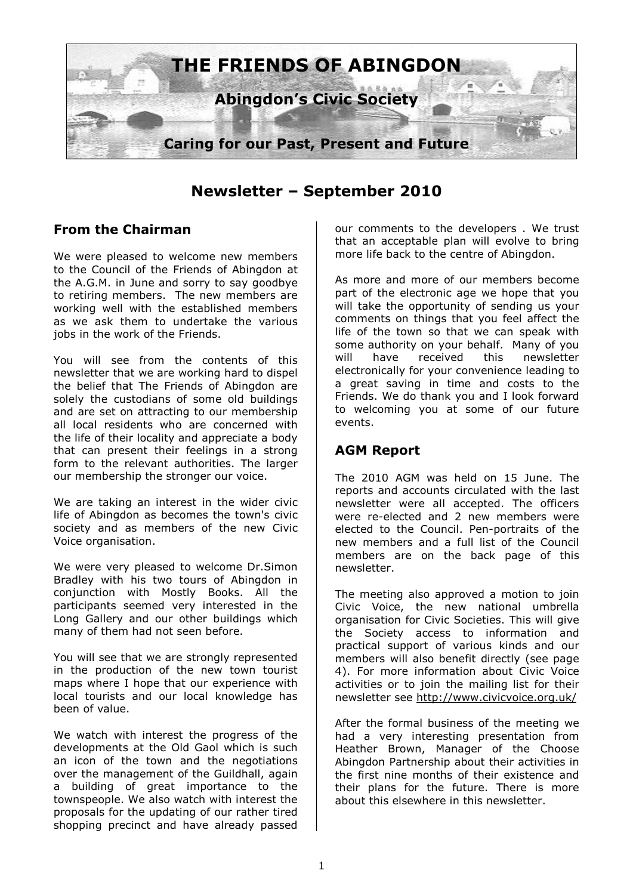

**Newsletter – September 2010** 

## **From the Chairman**

We were pleased to welcome new members to the Council of the Friends of Abingdon at the A.G.M. in June and sorry to say goodbye to retiring members. The new members are working well with the established members as we ask them to undertake the various jobs in the work of the Friends.

You will see from the contents of this newsletter that we are working hard to dispel the belief that The Friends of Abingdon are solely the custodians of some old buildings and are set on attracting to our membership all local residents who are concerned with the life of their locality and appreciate a body that can present their feelings in a strong form to the relevant authorities. The larger our membership the stronger our voice.

We are taking an interest in the wider civic life of Abingdon as becomes the town's civic society and as members of the new Civic Voice organisation.

We were very pleased to welcome Dr.Simon Bradley with his two tours of Abingdon in conjunction with Mostly Books. All the participants seemed very interested in the Long Gallery and our other buildings which many of them had not seen before.

You will see that we are strongly represented in the production of the new town tourist maps where I hope that our experience with local tourists and our local knowledge has been of value.

We watch with interest the progress of the developments at the Old Gaol which is such an icon of the town and the negotiations over the management of the Guildhall, again a building of great importance to the townspeople. We also watch with interest the proposals for the updating of our rather tired shopping precinct and have already passed our comments to the developers . We trust that an acceptable plan will evolve to bring more life back to the centre of Abingdon.

As more and more of our members become part of the electronic age we hope that you will take the opportunity of sending us your comments on things that you feel affect the life of the town so that we can speak with some authority on your behalf. Many of you will have received this newsletter electronically for your convenience leading to a great saving in time and costs to the Friends. We do thank you and I look forward to welcoming you at some of our future events.

## **AGM Report**

The 2010 AGM was held on 15 June. The reports and accounts circulated with the last newsletter were all accepted. The officers were re-elected and 2 new members were elected to the Council. Pen-portraits of the new members and a full list of the Council members are on the back page of this newsletter.

The meeting also approved a motion to join Civic Voice, the new national umbrella organisation for Civic Societies. This will give the Society access to information and practical support of various kinds and our members will also benefit directly (see page 4). For more information about Civic Voice activities or to join the mailing list for their newsletter see http://www.civicvoice.org.uk/

After the formal business of the meeting we had a very interesting presentation from Heather Brown, Manager of the Choose Abingdon Partnership about their activities in the first nine months of their existence and their plans for the future. There is more about this elsewhere in this newsletter.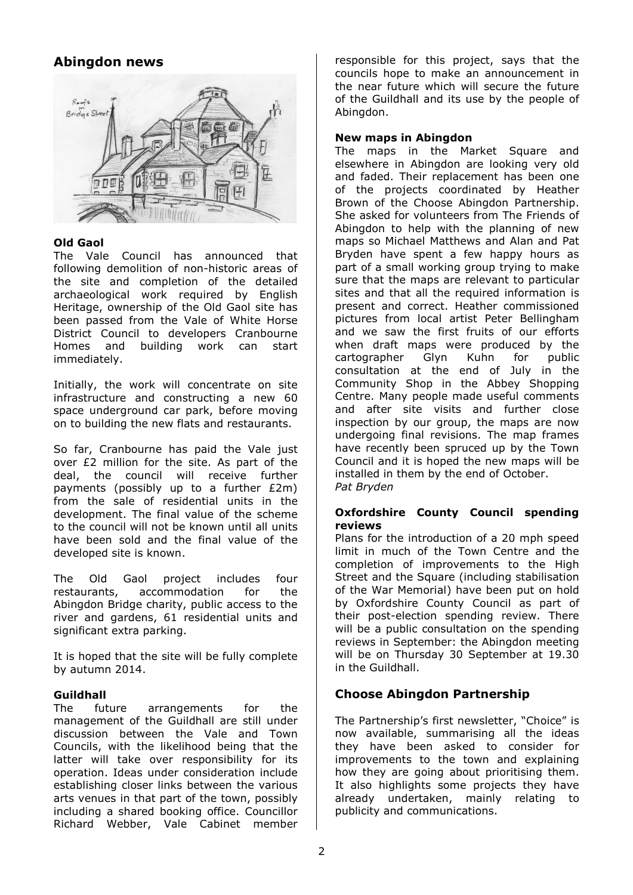# **Abingdon news**



### **Old Gaol**

The Vale Council has announced that following demolition of non-historic areas of the site and completion of the detailed archaeological work required by English Heritage, ownership of the Old Gaol site has been passed from the Vale of White Horse District Council to developers Cranbourne Homes and building work can start immediately.

Initially, the work will concentrate on site infrastructure and constructing a new 60 space underground car park, before moving on to building the new flats and restaurants.

So far, Cranbourne has paid the Vale just over £2 million for the site. As part of the deal, the council will receive further payments (possibly up to a further £2m) from the sale of residential units in the development. The final value of the scheme to the council will not be known until all units have been sold and the final value of the developed site is known.

The Old Gaol project includes four restaurants, accommodation for the Abingdon Bridge charity, public access to the river and gardens, 61 residential units and significant extra parking.

It is hoped that the site will be fully complete by autumn 2014.

#### **Guildhall**

The future arrangements for the management of the Guildhall are still under discussion between the Vale and Town Councils, with the likelihood being that the latter will take over responsibility for its operation. Ideas under consideration include establishing closer links between the various arts venues in that part of the town, possibly including a shared booking office. Councillor Richard Webber, Vale Cabinet member responsible for this project, says that the councils hope to make an announcement in the near future which will secure the future of the Guildhall and its use by the people of Abingdon.

### **New maps in Abingdon**

The maps in the Market Square and elsewhere in Abingdon are looking very old and faded. Their replacement has been one of the projects coordinated by Heather Brown of the Choose Abingdon Partnership. She asked for volunteers from The Friends of Abingdon to help with the planning of new maps so Michael Matthews and Alan and Pat Bryden have spent a few happy hours as part of a small working group trying to make sure that the maps are relevant to particular sites and that all the required information is present and correct. Heather commissioned pictures from local artist Peter Bellingham and we saw the first fruits of our efforts when draft maps were produced by the cartographer Glyn Kuhn for public consultation at the end of July in the Community Shop in the Abbey Shopping Centre. Many people made useful comments and after site visits and further close inspection by our group, the maps are now undergoing final revisions. The map frames have recently been spruced up by the Town Council and it is hoped the new maps will be installed in them by the end of October. *Pat Bryden* 

### **Oxfordshire County Council spending reviews**

Plans for the introduction of a 20 mph speed limit in much of the Town Centre and the completion of improvements to the High Street and the Square (including stabilisation of the War Memorial) have been put on hold by Oxfordshire County Council as part of their post-election spending review. There will be a public consultation on the spending reviews in September: the Abingdon meeting will be on Thursday 30 September at 19.30 in the Guildhall.

## **Choose Abingdon Partnership**

The Partnership's first newsletter, "Choice" is now available, summarising all the ideas they have been asked to consider for improvements to the town and explaining how they are going about prioritising them. It also highlights some projects they have already undertaken, mainly relating to publicity and communications.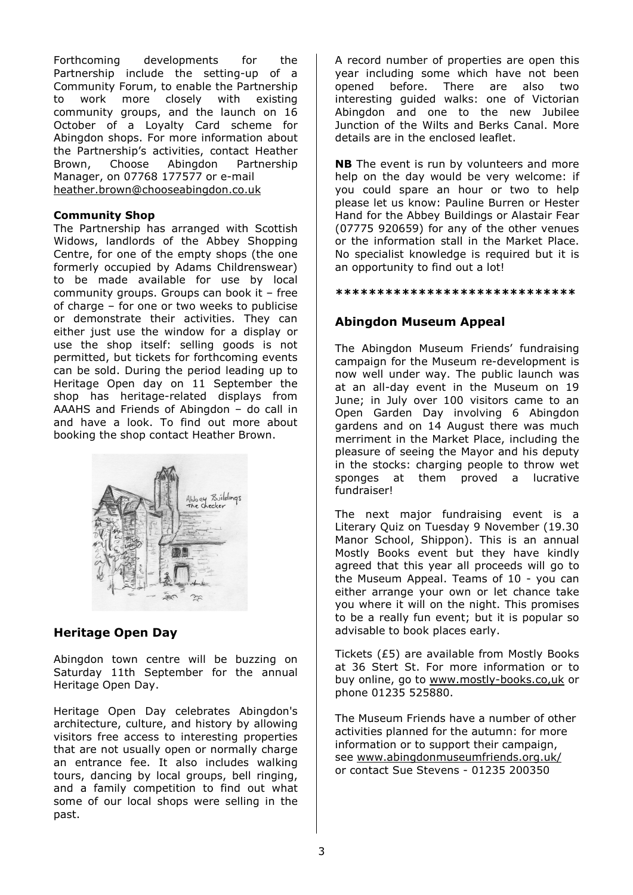Forthcoming developments for the Partnership include the setting-up of a Community Forum, to enable the Partnership to work more closely with existing community groups, and the launch on 16 October of a Loyalty Card scheme for Abingdon shops. For more information about the Partnership's activities, contact Heather Brown, Choose Abingdon Partnership Manager, on 07768 177577 or e-mail heather.brown@chooseabingdon.co.uk

### **Community Shop**

The Partnership has arranged with Scottish Widows, landlords of the Abbey Shopping Centre, for one of the empty shops (the one formerly occupied by Adams Childrenswear) to be made available for use by local community groups. Groups can book it – free of charge – for one or two weeks to publicise or demonstrate their activities. They can either just use the window for a display or use the shop itself: selling goods is not permitted, but tickets for forthcoming events can be sold. During the period leading up to Heritage Open day on 11 September the shop has heritage-related displays from AAAHS and Friends of Abingdon – do call in and have a look. To find out more about booking the shop contact Heather Brown.



## **Heritage Open Day**

Abingdon town centre will be buzzing on Saturday 11th September for the annual Heritage Open Day.

Heritage Open Day celebrates Abingdon's architecture, culture, and history by allowing visitors free access to interesting properties that are not usually open or normally charge an entrance fee. It also includes walking tours, dancing by local groups, bell ringing, and a family competition to find out what some of our local shops were selling in the past.

A record number of properties are open this year including some which have not been opened before. There are also two interesting guided walks: one of Victorian Abingdon and one to the new Jubilee Junction of the Wilts and Berks Canal. More details are in the enclosed leaflet.

**NB** The event is run by volunteers and more help on the day would be very welcome: if you could spare an hour or two to help please let us know: Pauline Burren or Hester Hand for the Abbey Buildings or Alastair Fear (07775 920659) for any of the other venues or the information stall in the Market Place. No specialist knowledge is required but it is an opportunity to find out a lot!

**\*\*\*\*\*\*\*\*\*\*\*\*\*\*\*\*\*\*\*\*\*\*\*\*\*\*\*\*\*** 

# **Abingdon Museum Appeal**

The Abingdon Museum Friends' fundraising campaign for the Museum re-development is now well under way. The public launch was at an all-day event in the Museum on 19 June; in July over 100 visitors came to an Open Garden Day involving 6 Abingdon gardens and on 14 August there was much merriment in the Market Place, including the pleasure of seeing the Mayor and his deputy in the stocks: charging people to throw wet sponges at them proved a lucrative fundraiser!

The next major fundraising event is a Literary Quiz on Tuesday 9 November (19.30 Manor School, Shippon). This is an annual Mostly Books event but they have kindly agreed that this year all proceeds will go to the Museum Appeal. Teams of 10 - you can either arrange your own or let chance take you where it will on the night. This promises to be a really fun event; but it is popular so advisable to book places early.

Tickets (£5) are available from Mostly Books at 36 Stert St. For more information or to buy online, go to www.mostly-books.co,uk or phone 01235 525880.

The Museum Friends have a number of other activities planned for the autumn: for more information or to support their campaign, see www.abingdonmuseumfriends.org.uk/ or contact Sue Stevens - 01235 200350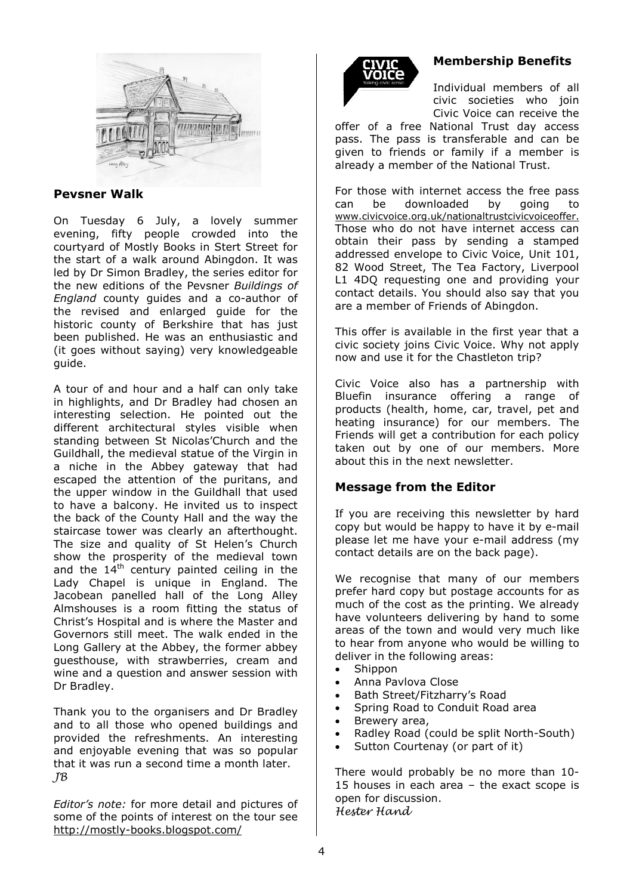

### **Pevsner Walk**

On Tuesday 6 July, a lovely summer evening, fifty people crowded into the courtyard of Mostly Books in Stert Street for the start of a walk around Abingdon. It was led by Dr Simon Bradley, the series editor for the new editions of the Pevsner *Buildings of England* county guides and a co-author of the revised and enlarged guide for the historic county of Berkshire that has just been published. He was an enthusiastic and (it goes without saying) very knowledgeable guide.

A tour of and hour and a half can only take in highlights, and Dr Bradley had chosen an interesting selection. He pointed out the different architectural styles visible when standing between St Nicolas'Church and the Guildhall, the medieval statue of the Virgin in a niche in the Abbey gateway that had escaped the attention of the puritans, and the upper window in the Guildhall that used to have a balcony. He invited us to inspect the back of the County Hall and the way the staircase tower was clearly an afterthought. The size and quality of St Helen's Church show the prosperity of the medieval town and the  $14<sup>th</sup>$  century painted ceiling in the Lady Chapel is unique in England. The Jacobean panelled hall of the Long Alley Almshouses is a room fitting the status of Christ's Hospital and is where the Master and Governors still meet. The walk ended in the Long Gallery at the Abbey, the former abbey guesthouse, with strawberries, cream and wine and a question and answer session with Dr Bradley.

Thank you to the organisers and Dr Bradley and to all those who opened buildings and provided the refreshments. An interesting and enjoyable evening that was so popular that it was run a second time a month later. JB

*Editor's note:* for more detail and pictures of some of the points of interest on the tour see http://mostly-books.blogspot.com/



## **Membership Benefits**

Individual members of all civic societies who join Civic Voice can receive the

offer of a free National Trust day access pass. The pass is transferable and can be given to friends or family if a member is already a member of the National Trust.

For those with internet access the free pass can be downloaded by going to www.civicvoice.org.uk/nationaltrustcivicvoiceoffer. Those who do not have internet access can obtain their pass by sending a stamped addressed envelope to Civic Voice, Unit 101, 82 Wood Street, The Tea Factory, Liverpool L1 4DQ requesting one and providing your contact details. You should also say that you are a member of Friends of Abingdon.

This offer is available in the first year that a civic society joins Civic Voice. Why not apply now and use it for the Chastleton trip?

Civic Voice also has a partnership with Bluefin insurance offering a range of products (health, home, car, travel, pet and heating insurance) for our members. The Friends will get a contribution for each policy taken out by one of our members. More about this in the next newsletter.

## **Message from the Editor**

If you are receiving this newsletter by hard copy but would be happy to have it by e-mail please let me have your e-mail address (my contact details are on the back page).

We recognise that many of our members prefer hard copy but postage accounts for as much of the cost as the printing. We already have volunteers delivering by hand to some areas of the town and would very much like to hear from anyone who would be willing to deliver in the following areas:

- Shippon
- Anna Pavlova Close
- Bath Street/Fitzharry's Road
- Spring Road to Conduit Road area
- Brewery area,
- Radley Road (could be split North-South)
- Sutton Courtenay (or part of it)

There would probably be no more than 10- 15 houses in each area – the exact scope is open for discussion. Hester Hand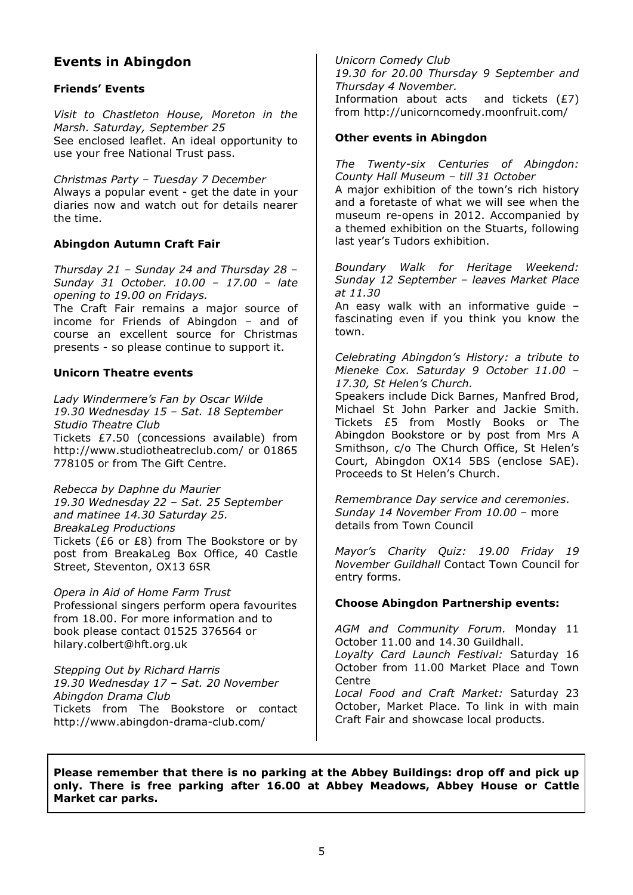# **Events in Abingdon**

### **Friends' Events**

*Visit to Chastleton House, Moreton in the Marsh. Saturday, September 25*  See enclosed leaflet. An ideal opportunity to use your free National Trust pass.

*Christmas Party – Tuesday 7 December*  Always a popular event - get the date in your diaries now and watch out for details nearer the time.

### **Abingdon Autumn Craft Fair**

*Thursday 21 – Sunday 24 and Thursday 28 – Sunday 31 October. 10.00 – 17.00 – late opening to 19.00 on Fridays.*  The Craft Fair remains a major source of

income for Friends of Abingdon – and of course an excellent source for Christmas presents - so please continue to support it.

### **Unicorn Theatre events**

*Lady Windermere's Fan by Oscar Wilde 19.30 Wednesday 15 – Sat. 18 September Studio Theatre Club*  Tickets £7.50 (concessions available) from http://www.studiotheatreclub.com/ or 01865 778105 or from The Gift Centre.

*Rebecca by Daphne du Maurier 19.30 Wednesday 22 – Sat. 25 September and matinee 14.30 Saturday 25. BreakaLeg Productions*  Tickets (£6 or £8) from The Bookstore or by post from BreakaLeg Box Office, 40 Castle Street, Steventon, OX13 6SR

*Opera in Aid of Home Farm Trust*  Professional singers perform opera favourites from 18.00. For more information and to book please contact 01525 376564 or hilary.colbert@hft.org.uk

*Stepping Out by Richard Harris 19.30 Wednesday 17 – Sat. 20 November Abingdon Drama Club*  Tickets from The Bookstore or contact http://www.abingdon-drama-club.com/

*Unicorn Comedy Club 19.30 for 20.00 Thursday 9 September and Thursday 4 November.* Information about acts and tickets  $(E7)$ from http://unicorncomedy.moonfruit.com/

### **Other events in Abingdon**

*The Twenty-six Centuries of Abingdon: County Hall Museum – till 31 October* 

A major exhibition of the town's rich history and a foretaste of what we will see when the museum re-opens in 2012. Accompanied by a themed exhibition on the Stuarts, following last year's Tudors exhibition.

*Boundary Walk for Heritage Weekend: Sunday 12 September – leaves Market Place at 11.30* 

An easy walk with an informative guide – fascinating even if you think you know the town.

*Celebrating Abingdon's History: a tribute to Mieneke Cox. Saturday 9 October 11.00 – 17.30, St Helen's Church.* 

Speakers include Dick Barnes, Manfred Brod, Michael St John Parker and Jackie Smith. Tickets £5 from Mostly Books or The Abingdon Bookstore or by post from Mrs A Smithson, c/o The Church Office, St Helen's Court, Abingdon OX14 5BS (enclose SAE). Proceeds to St Helen's Church.

*Remembrance Day service and ceremonies*. *Sunday 14 November From 10.00* – more details from Town Council

*Mayor's Charity Quiz: 19.00 Friday 19 November Guildhall* Contact Town Council for entry forms.

#### **Choose Abingdon Partnership events:**

*AGM and Community Forum.* Monday 11 October 11.00 and 14.30 Guildhall.

*Loyalty Card Launch Festival:* Saturday 16 October from 11.00 Market Place and Town **Centre** 

*Local Food and Craft Market:* Saturday 23 October, Market Place. To link in with main Craft Fair and showcase local products.

**Please remember that there is no parking at the Abbey Buildings: drop off and pick up only. There is free parking after 16.00 at Abbey Meadows, Abbey House or Cattle Market car parks.**